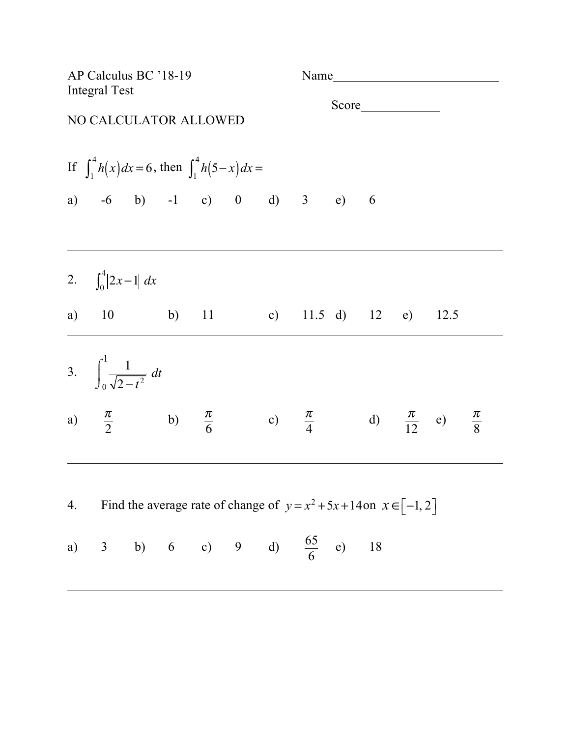| AP Calculus BC '18-19<br><b>Integral Test</b> |                                                                                                 |  |  |    | Name |                                                                           |  |  |  |  |  |
|-----------------------------------------------|-------------------------------------------------------------------------------------------------|--|--|----|------|---------------------------------------------------------------------------|--|--|--|--|--|
|                                               | NO CALCULATOR ALLOWED                                                                           |  |  |    |      |                                                                           |  |  |  |  |  |
|                                               | If $\int_{1}^{4} h(x) dx = 6$ , then $\int_{1}^{4} h(5-x) dx =$                                 |  |  |    |      |                                                                           |  |  |  |  |  |
|                                               | a) $-6$ b) $-1$ c) 0 d) 3 e) 6                                                                  |  |  |    |      |                                                                           |  |  |  |  |  |
|                                               | 2. $\int_0^4  2x-1  dx$                                                                         |  |  |    |      |                                                                           |  |  |  |  |  |
|                                               | a) $10$ b)                                                                                      |  |  | 11 |      | c) $11.5$ d) $12$ e) $12.5$                                               |  |  |  |  |  |
|                                               | 3. $\int_0^1 \frac{1}{\sqrt{2-t^2}} dt$                                                         |  |  |    |      |                                                                           |  |  |  |  |  |
|                                               | a) $\frac{\pi}{2}$ b) $\frac{\pi}{6}$ c) $\frac{\pi}{4}$ d) $\frac{\pi}{12}$ e) $\frac{\pi}{8}$ |  |  |    |      |                                                                           |  |  |  |  |  |
| 4.                                            |                                                                                                 |  |  |    |      | Find the average rate of change of $y = x^2 + 5x + 14$ on $x \in [-1, 2]$ |  |  |  |  |  |
|                                               | a) 3 b) 6 c) 9 d) $\frac{65}{6}$ e) 18                                                          |  |  |    |      |                                                                           |  |  |  |  |  |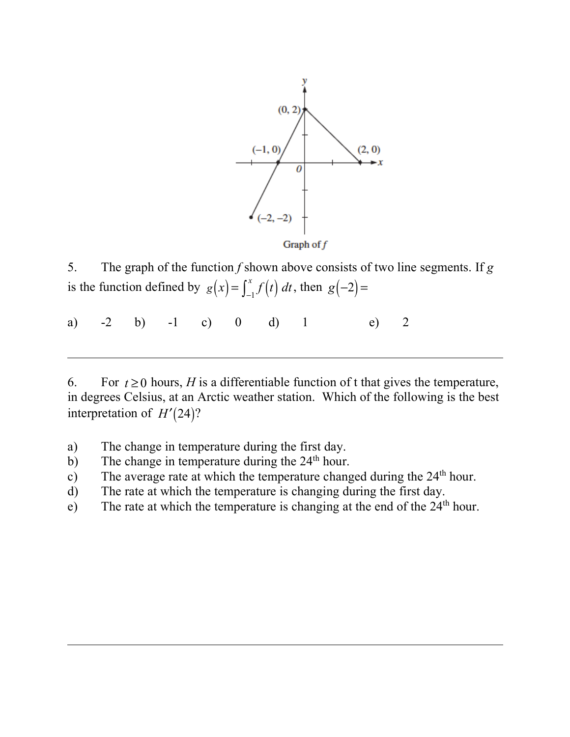

5. The graph of the function *f* shown above consists of two line segments. If *g*  is the function defined by  $g(x) = \int_{-1}^{x} f(t) dt$ , then  $g(-2) =$ 

a)  $-2$  b)  $-1$  c) 0 d) 1 e) 2

6. For  $t \ge 0$  hours, *H* is a differentiable function of t that gives the temperature, in degrees Celsius, at an Arctic weather station. Which of the following is the best interpretation of  $H'(24)$ ?

- a) The change in temperature during the first day.
- b) The change in temperature during the  $24<sup>th</sup>$  hour.
- c) The average rate at which the temperature changed during the 24<sup>th</sup> hour.
- d) The rate at which the temperature is changing during the first day.
- e) The rate at which the temperature is changing at the end of the  $24<sup>th</sup>$  hour.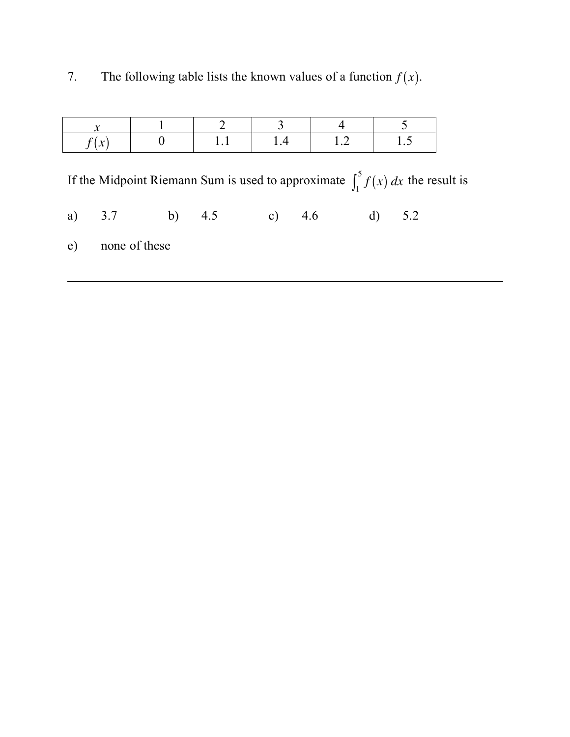| 7. | The following table lists the known values of a function $f(x)$ . |  |  |  |  |  |  |  |
|----|-------------------------------------------------------------------|--|--|--|--|--|--|--|
|----|-------------------------------------------------------------------|--|--|--|--|--|--|--|

| $\mathbf{v}$<br>$\mathcal{N}$ |  | I 4 | $\cdot$ $\sim$ |
|-------------------------------|--|-----|----------------|

If the Midpoint Riemann Sum is used to approximate  $\int_1^5 f(x) dx$  the result is

a) 3.7 b) 4.5 c) 4.6 d) 5.2

e) none of these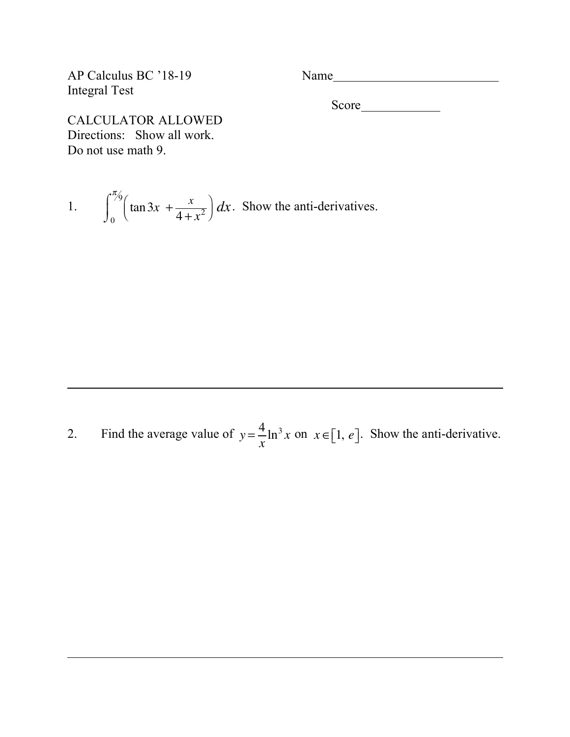AP Calculus BC '18-19 Name Integral Test

Score
<u>
Score</u>

CALCULATOR ALLOWED Directions: Show all work. Do not use math 9.

1. 
$$
\int_0^{\pi/6} \left(\tan 3x + \frac{x}{4 + x^2}\right) dx
$$
. Show the anti-derivatives.

2. Find the average value of  $y = \frac{4}{x} \ln^3 x$  on  $x \in [1, e]$ . Show the anti-derivative.  $\frac{4}{x} \ln^3 x$  on  $x \in [1, e]$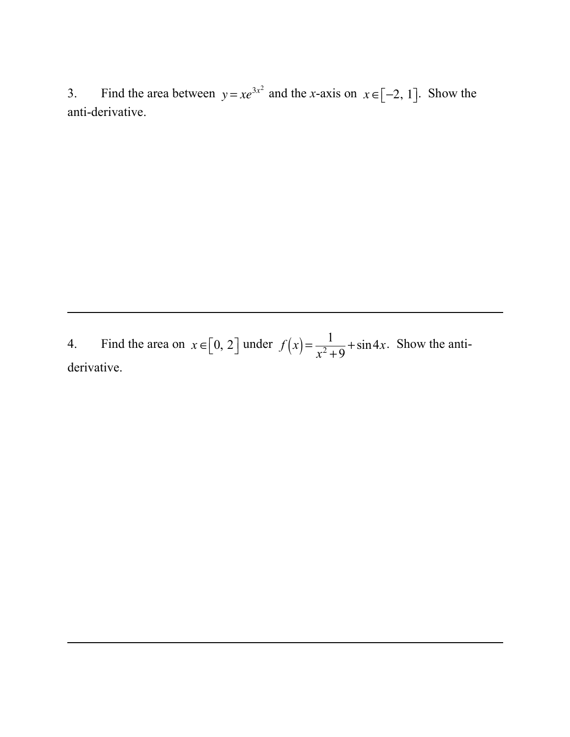Find the area between  $y = xe^{3x^2}$  and the x-axis on  $x \in [-2, 1]$ . Show the  $3.$ anti-derivative.

Find the area on  $x \in [0, 2]$  under  $f(x) = \frac{1}{x^2 + 9} + \sin 4x$ . Show the anti- $4.$ derivative.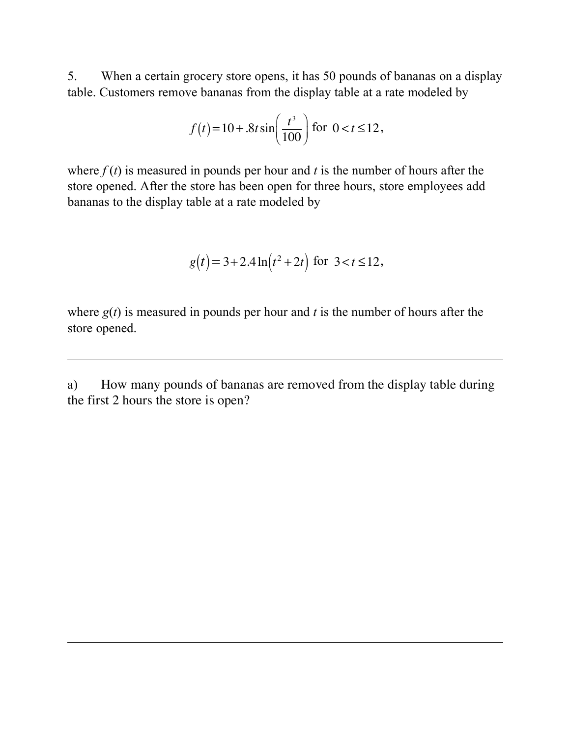5. When a certain grocery store opens, it has 50 pounds of bananas on a display table. Customers remove bananas from the display table at a rate modeled by

$$
f(t) = 10 + .8t \sin\left(\frac{t^3}{100}\right)
$$
 for  $0 < t \le 12$ ,

where  $f(t)$  is measured in pounds per hour and *t* is the number of hours after the store opened. After the store has been open for three hours, store employees add bananas to the display table at a rate modeled by

$$
g(t) = 3 + 2.4 \ln(t^2 + 2t) \text{ for } 3 < t \le 12,
$$

where  $g(t)$  is measured in pounds per hour and *t* is the number of hours after the store opened.

a) How many pounds of bananas are removed from the display table during the first 2 hours the store is open?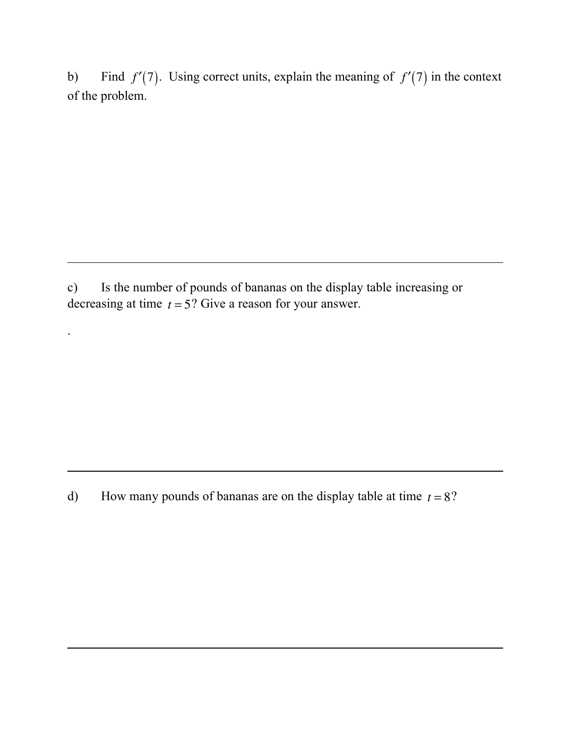b) Find  $f'(7)$ . Using correct units, explain the meaning of  $f'(7)$  in the context of the problem.

c) Is the number of pounds of bananas on the display table increasing or decreasing at time  $t = 5$ ? Give a reason for your answer.

.

d) How many pounds of bananas are on the display table at time  $t = 8$ ?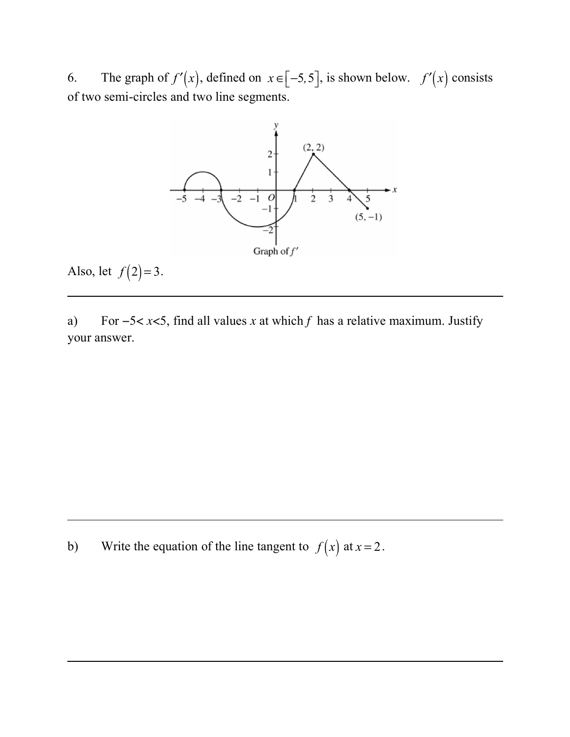6. The graph of  $f'(x)$ , defined on  $x \in [-5, 5]$ , is shown below.  $f'(x)$  consists of two semi-circles and two line segments.



Also, let  $f(2)=3$ .

a) For −5< *x*<5, find all values *x* at which *f* has a relative maximum. Justify your answer.

b) Write the equation of the line tangent to  $f(x)$  at  $x = 2$ .